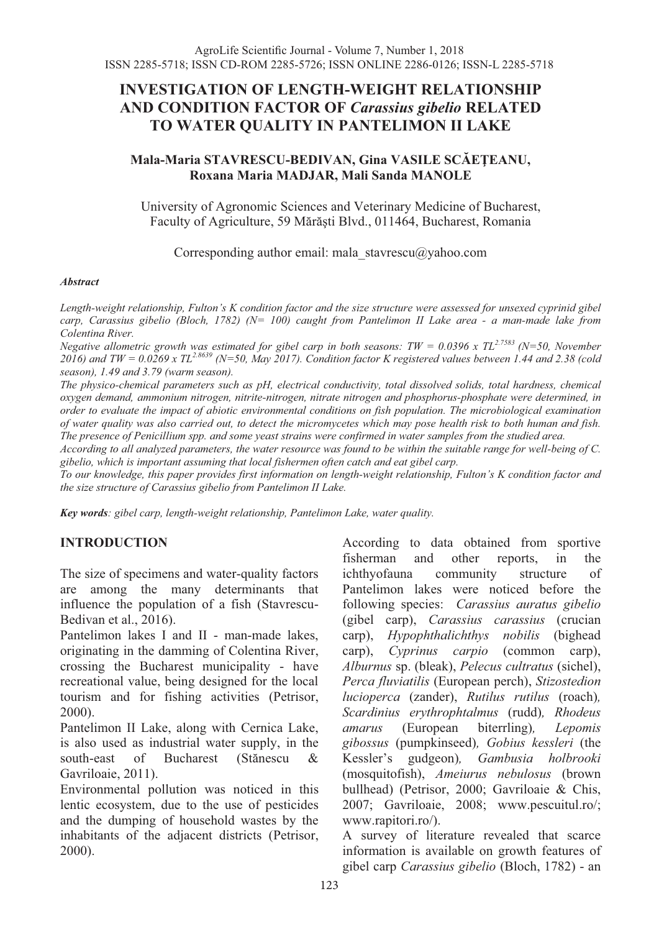# **INVESTIGATION OF LENGTH-WEIGHT RELATIONSHIP AND CONDITION FACTOR OF** *Carassius gibelio* **RELATED TO WATER QUALITY IN PANTELIMON II LAKE**

### **Mala-Maria STAVRESCU-BEDIVAN, Gina VASILE SCĂEŢEANU, Roxana Maria MADJAR, Mali Sanda MANOLE**

University of Agronomic Sciences and Veterinary Medicine of Bucharest, Faculty of Agriculture, 59 Mărăşti Blvd., 011464, Bucharest, Romania

Corresponding author email: mala\_stavrescu@yahoo.com

#### *Abstract*

*Length-weight relationship, Fulton's K condition factor and the size structure were assessed for unsexed cyprinid gibel carp, Carassius gibelio (Bloch, 1782) (N= 100) caught from Pantelimon II Lake area - a man-made lake from Colentina River.* 

*Negative allometric growth was estimated for gibel carp in both seasons: TW = 0.0396 x TL<sup>2.7583</sup> (N=50, November 2016) and TW = 0.0269 x TL2.8639 (N=50, May 2017). Condition factor K registered values between 1.44 and 2.38 (cold season), 1.49 and 3.79 (warm season).* 

*The physico-chemical parameters such as pH, electrical conductivity, total dissolved solids, total hardness, chemical oxygen demand, ammonium nitrogen, nitrite-nitrogen, nitrate nitrogen and phosphorus-phosphate were determined, in order to evaluate the impact of abiotic environmental conditions on fish population. The microbiological examination of water quality was also carried out, to detect the micromycetes which may pose health risk to both human and fish. The presence of Penicillium spp. and some yeast strains were confirmed in water samples from the studied area.* 

*According to all analyzed parameters, the water resource was found to be within the suitable range for well-being of C. gibelio, which is important assuming that local fishermen often catch and eat gibel carp.* 

*To our knowledge, this paper provides first information on length-weight relationship, Fulton's K condition factor and the size structure of Carassius gibelio from Pantelimon II Lake.* 

*Key words: gibel carp, length-weight relationship, Pantelimon Lake, water quality.* 

## **INTRODUCTION**

The size of specimens and water-quality factors are among the many determinants that influence the population of a fish (Stavrescu-Bedivan et al., 2016).

Pantelimon lakes I and II - man-made lakes, originating in the damming of Colentina River, crossing the Bucharest municipality - have recreational value, being designed for the local tourism and for fishing activities (Petrisor, 2000).

Pantelimon II Lake, along with Cernica Lake, is also used as industrial water supply, in the south-east of Bucharest (Stănescu & Gavriloaie, 2011).

Environmental pollution was noticed in this lentic ecosystem, due to the use of pesticides and the dumping of household wastes by the inhabitants of the adjacent districts (Petrisor, 2000).

According to data obtained from sportive fisherman and other reports, in the ichthyofauna community structure of Pantelimon lakes were noticed before the following species: *Carassius auratus gibelio* (gibel carp), *Carassius carassius* (crucian carp), *Hypophthalichthys nobilis* (bighead carp), *Cyprinus carpio* (common carp), *Alburnus* sp. (bleak), *Pelecus cultratus* (sichel), *Perca fluviatilis* (European perch), *Stizostedion lucioperca* (zander), *Rutilus rutilus* (roach)*, Scardinius erythrophtalmus* (rudd)*, Rhodeus amarus* (European biterrling)*, Lepomis gibossus* (pumpkinseed)*, Gobius kessleri* (the Kessler's gudgeon)*, Gambusia holbrooki* (mosquitofish), *Ameiurus nebulosus* (brown bullhead) (Petrisor, 2000; Gavriloaie & Chis, 2007; Gavriloaie, 2008; www.pescuitul.ro/; www.rapitori.ro/).

A survey of literature revealed that scarce information is available on growth features of gibel carp *Carassius gibelio* (Bloch, 1782) - an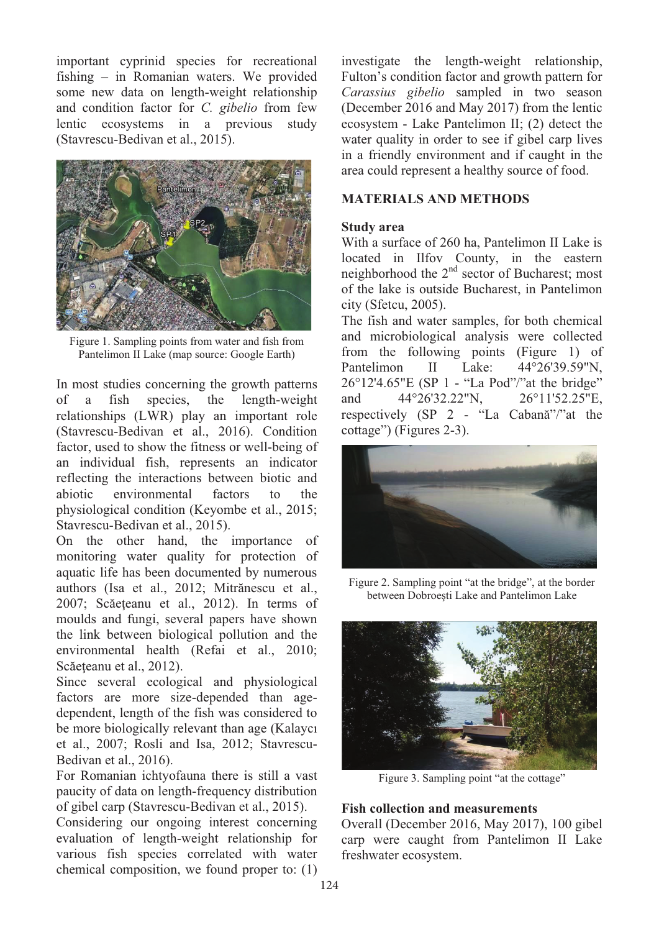important cyprinid species for recreational fishing – in Romanian waters. We provided some new data on length-weight relationship and condition factor for *C. gibelio* from few lentic ecosystems in a previous study (Stavrescu-Bedivan et al., 2015).



Figure 1. Sampling points from water and fish from Pantelimon II Lake (map source: Google Earth)

In most studies concerning the growth patterns of a fish species, the length-weight relationships (LWR) play an important role (Stavrescu-Bedivan et al., 2016). Condition factor, used to show the fitness or well-being of an individual fish, represents an indicator reflecting the interactions between biotic and abiotic environmental factors to the physiological condition (Keyombe et al., 2015; Stavrescu-Bedivan et al., 2015).

On the other hand, the importance of monitoring water quality for protection of aquatic life has been documented by numerous authors (Isa et al., 2012; Mitrănescu et al., 2007; Scăeţeanu et al., 2012). In terms of moulds and fungi, several papers have shown the link between biological pollution and the environmental health (Refai et al., 2010; Scăeteanu et al., 2012).

Since several ecological and physiological factors are more size-depended than agedependent, length of the fish was considered to be more biologically relevant than age (Kalaycı et al., 2007; Rosli and Isa, 2012; Stavrescu-Bedivan et al., 2016).

For Romanian ichtyofauna there is still a vast paucity of data on length-frequency distribution of gibel carp (Stavrescu-Bedivan et al., 2015).

Considering our ongoing interest concerning evaluation of length-weight relationship for various fish species correlated with water chemical composition, we found proper to: (1)

investigate the length-weight relationship, Fulton's condition factor and growth pattern for *Carassius gibelio* sampled in two season (December 2016 and May 2017) from the lentic ecosystem - Lake Pantelimon II; (2) detect the water quality in order to see if gibel carp lives in a friendly environment and if caught in the area could represent a healthy source of food.

### **MATERIALS AND METHODS**

#### **Study area**

With a surface of 260 ha, Pantelimon II Lake is located in Ilfov County, in the eastern neighborhood the 2<sup>nd</sup> sector of Bucharest; most of the lake is outside Bucharest, in Pantelimon city (Sfetcu, 2005).

The fish and water samples, for both chemical and microbiological analysis were collected from the following points (Figure 1) of Pantelimon II Lake:  $44^{\circ}26'39.59''N$ , 26°12'4.65"E (SP 1 - "La Pod"/"at the bridge" and 44°26'32.22"N, 26°11'52.25"E, respectively (SP 2 - "La Cabană"/"at the cottage") (Figures 2-3).



Figure 2. Sampling point "at the bridge", at the border between Dobroeşti Lake and Pantelimon Lake



Figure 3. Sampling point "at the cottage"

### **Fish collection and measurements**

Overall (December 2016, May 2017), 100 gibel carp were caught from Pantelimon II Lake freshwater ecosystem.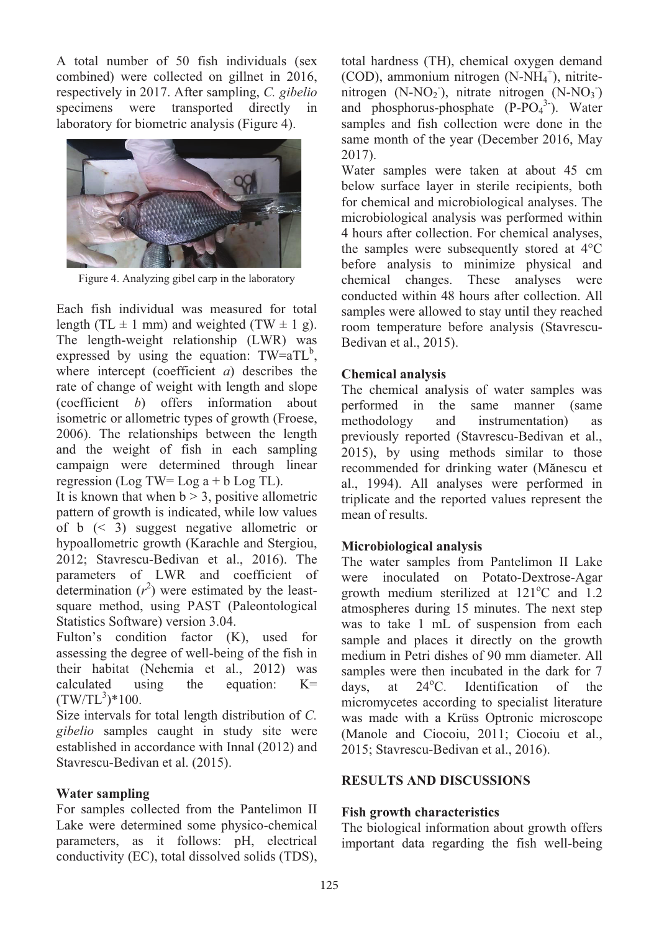A total number of 50 fish individuals (sex combined) were collected on gillnet in 2016, respectively in 2017. After sampling, *C. gibelio* specimens were transported directly in laboratory for biometric analysis (Figure 4).



Figure 4. Analyzing gibel carp in the laboratory

Each fish individual was measured for total length (TL  $\pm$  1 mm) and weighted (TW  $\pm$  1 g). The length-weight relationship (LWR) was expressed by using the equation:  $TW = aTL<sup>b</sup>$ , where intercept (coefficient *a*) describes the rate of change of weight with length and slope (coefficient *b*) offers information about isometric or allometric types of growth (Froese, 2006). The relationships between the length and the weight of fish in each sampling campaign were determined through linear regression (Log TW= Log  $a + b$  Log TL).

It is known that when  $b > 3$ , positive allometric pattern of growth is indicated, while low values of b (< 3) suggest negative allometric or hypoallometric growth (Karachle and Stergiou, 2012; Stavrescu-Bedivan et al., 2016). The parameters of LWR and coefficient of determination  $(r^2)$  were estimated by the leastsquare method, using PAST (Paleontological Statistics Software) version 3.04.

Fulton's condition factor (K), used for assessing the degree of well-being of the fish in their habitat (Nehemia et al., 2012) was calculated using the equation: K=  $(TW/TL^3)*100.$ 

Size intervals for total length distribution of *C. gibelio* samples caught in study site were established in accordance with Innal (2012) and Stavrescu-Bedivan et al. (2015).

## **Water sampling**

For samples collected from the Pantelimon II Lake were determined some physico-chemical parameters, as it follows: pH, electrical conductivity (EC), total dissolved solids (TDS),

total hardness (TH), chemical oxygen demand (COD), ammonium nitrogen (N-NH<sub>4</sub><sup>+</sup>), nitritenitrogen (N-NO<sub>2</sub>), nitrate nitrogen (N-NO<sub>3</sub>) and phosphorus-phosphate  $(P-PO<sub>4</sub><sup>3</sup>)$ . Water samples and fish collection were done in the same month of the year (December 2016, May 2017).

Water samples were taken at about 45 cm below surface layer in sterile recipients, both for chemical and microbiological analyses. The microbiological analysis was performed within 4 hours after collection. For chemical analyses, the samples were subsequently stored at 4°C before analysis to minimize physical and chemical changes. These analyses were conducted within 48 hours after collection. All samples were allowed to stay until they reached room temperature before analysis (Stavrescu-Bedivan et al., 2015).

## **Chemical analysis**

The chemical analysis of water samples was performed in the same manner (same methodology and instrumentation) as previously reported (Stavrescu-Bedivan et al., 2015), by using methods similar to those recommended for drinking water (Mănescu et al., 1994). All analyses were performed in triplicate and the reported values represent the mean of results.

# **Microbiological analysis**

The water samples from Pantelimon II Lake were inoculated on Potato-Dextrose-Agar growth medium sterilized at  $121^{\circ}$ C and  $1.2$ atmospheres during 15 minutes. The next step was to take 1 mL of suspension from each sample and places it directly on the growth medium in Petri dishes of 90 mm diameter. All samples were then incubated in the dark for 7 days, at  $24^{\circ}$ C. Identification of the micromycetes according to specialist literature was made with a Krüss Optronic microscope (Manole and Ciocoiu, 2011; Ciocoiu et al., 2015; Stavrescu-Bedivan et al., 2016).

# **RESULTS AND DISCUSSIONS**

# **Fish growth characteristics**

The biological information about growth offers important data regarding the fish well-being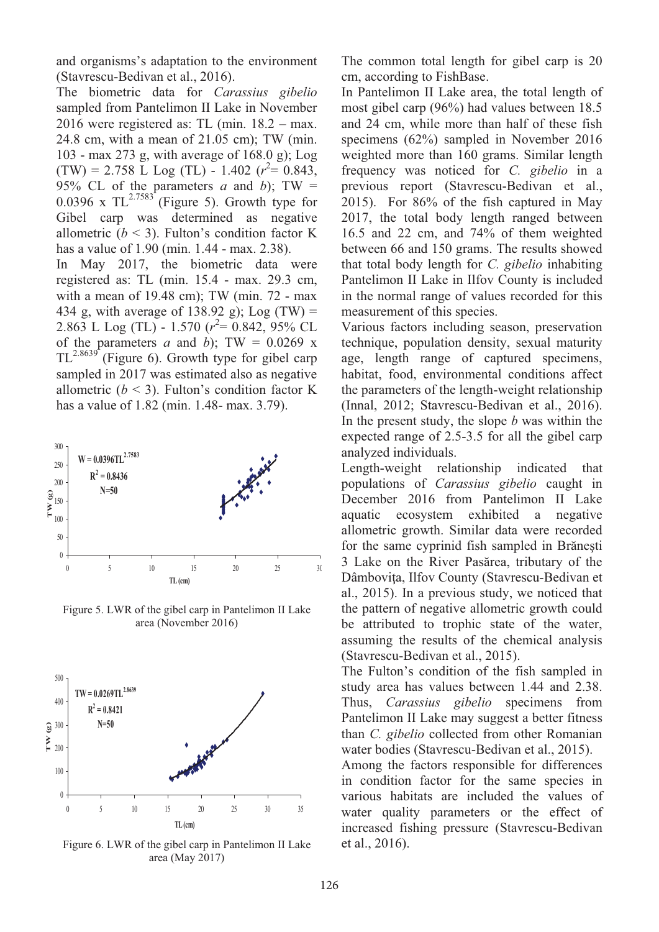and organisms's adaptation to the environment (Stavrescu-Bedivan et al., 2016).

The biometric data for *Carassius gibelio*  sampled from Pantelimon II Lake in November 2016 were registered as: TL (min. 18.2 – max. 24.8 cm, with a mean of 21.05 cm); TW (min. 103 - max 273 g, with average of 168.0 g); Log  $(TW) = 2.758$  L Log (TL) - 1.402 ( $r^2 = 0.843$ , 95% CL of the parameters *a* and *b*); TW =  $0.0396$  x TL<sup>2.7583</sup><sup>\*</sup>(Figure 5). Growth type for Gibel carp was determined as negative allometric  $(b < 3)$ . Fulton's condition factor K has a value of 1.90 (min. 1.44 - max. 2.38).

In May 2017, the biometric data were registered as: TL (min. 15.4 - max. 29.3 cm, with a mean of 19.48 cm); TW (min. 72 - max 434 g, with average of 138.92 g); Log  $(TW)$  = 2.863 L Log (TL) - 1.570 (*r* 2 = 0.842, 95% CL of the parameters *a* and *b*); TW =  $0.0269$  x  $TL^{2.8639}$  (Figure 6). Growth type for gibel carp sampled in 2017 was estimated also as negative allometric  $(b < 3)$ . Fulton's condition factor K has a value of 1.82 (min. 1.48- max. 3.79).



Figure 5. LWR of the gibel carp in Pantelimon II Lake area (November 2016)



Figure 6. LWR of the gibel carp in Pantelimon II Lake area (May 2017)

The common total length for gibel carp is 20 cm, according to FishBase.

In Pantelimon II Lake area, the total length of most gibel carp (96%) had values between 18.5 and 24 cm, while more than half of these fish specimens (62%) sampled in November 2016 weighted more than 160 grams. Similar length frequency was noticed for *C. gibelio* in a previous report (Stavrescu-Bedivan et al., 2015). For 86% of the fish captured in May 2017, the total body length ranged between 16.5 and 22 cm, and 74% of them weighted between 66 and 150 grams. The results showed that total body length for *C. gibelio* inhabiting Pantelimon II Lake in Ilfov County is included in the normal range of values recorded for this measurement of this species.

Various factors including season, preservation technique, population density, sexual maturity age, length range of captured specimens, habitat, food, environmental conditions affect the parameters of the length-weight relationship (Innal, 2012; Stavrescu-Bedivan et al., 2016). In the present study, the slope *b* was within the expected range of 2.5-3.5 for all the gibel carp analyzed individuals.

Length-weight relationship indicated that populations of *Carassius gibelio* caught in December 2016 from Pantelimon II Lake aquatic ecosystem exhibited a negative allometric growth. Similar data were recorded for the same cyprinid fish sampled in Brăneşti 3 Lake on the River Pasărea, tributary of the Dâmbovița, Ilfov County (Stavrescu-Bedivan et al., 2015). In a previous study, we noticed that the pattern of negative allometric growth could be attributed to trophic state of the water, assuming the results of the chemical analysis (Stavrescu-Bedivan et al., 2015).

The Fulton's condition of the fish sampled in study area has values between 1.44 and 2.38. Thus, *Carassius gibelio* specimens from Pantelimon II Lake may suggest a better fitness than *C. gibelio* collected from other Romanian water bodies (Stavrescu-Bedivan et al., 2015).

Among the factors responsible for differences in condition factor for the same species in various habitats are included the values of water quality parameters or the effect of increased fishing pressure (Stavrescu-Bedivan et al., 2016).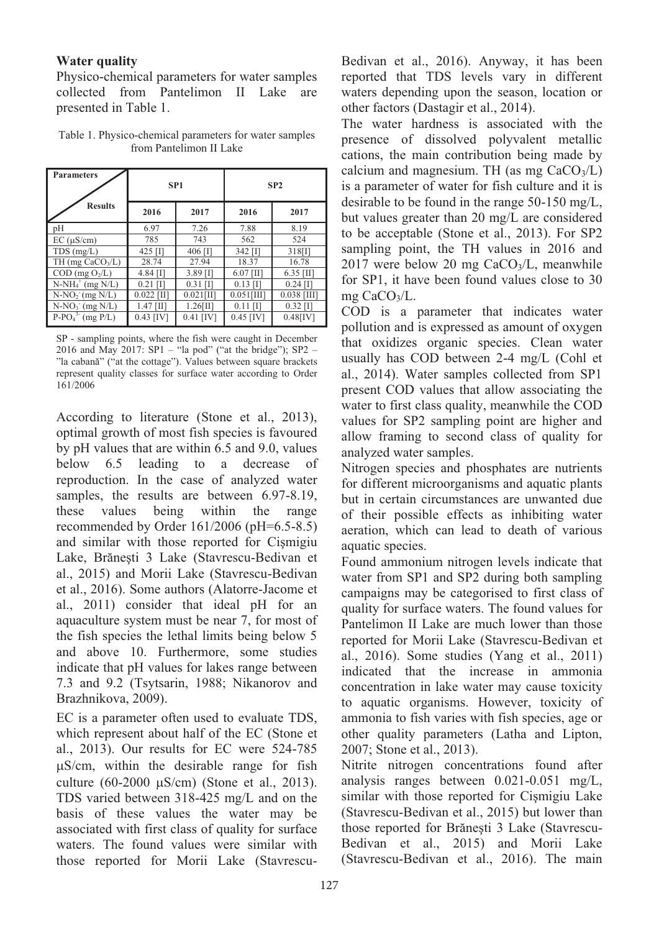### **Water quality**

Physico-chemical parameters for water samples collected from Pantelimon II Lake are presented in Table 1.

Table 1. Physico-chemical parameters for water samples from Pantelimon II Lake

| <b>Parameters</b>                       | SP <sub>1</sub> |              | SP <sub>2</sub> |               |
|-----------------------------------------|-----------------|--------------|-----------------|---------------|
| <b>Results</b>                          | 2016            | 2017         | 2016            | 2017          |
| pΗ                                      | 6.97            | 7.26         | 7.88            | 8.19          |
| $EC$ ( $\mu$ S/cm)                      | 785             | 743          | 562             | 524           |
| $TDS$ (mg/L)                            | 425 $[1]$       | 406 [I]      | $342$ [I]       | 318[1]        |
| TH (mg CaCO <sub>3</sub> /L)            | 28.74           | 27.94        | 18.37           | 16.78         |
| $COD$ (mg $O2/L$ )                      | $4.84$ [I]      | $3.89$ [I]   | $6.07$ [II]     | $6.35$ [II]   |
| $N-NH4+ (mg N/L)$                       | $0.21$ [I]      | $0.31$ [I]   | $0.13$ [I]      | $0.24$ [I]    |
| $N-NO2 (mg N/L)$                        | $0.022$ [II]    | $0.021$ [II] | $0.051$ [III]   | $0.038$ [III] |
| $N-NO_3$ (mg $N/L$ )                    | $1.47$ [II]     | $1.26$ [II]  | $0.11$ [I]      | $0.32$ [I]    |
| $\overline{P\text{-}PO_4}^{3}$ (mg P/L) | $0.43$ [IV]     | $0.41$ [IV]  | $0.45$ [IV]     | $0.48$ [IV]   |

SP - sampling points, where the fish were caught in December 2016 and May 2017: SP1 – "la pod" ("at the bridge"); SP2 – "la cabană" ("at the cottage"). Values between square brackets represent quality classes for surface water according to Order 161/2006

According to literature (Stone et al., 2013), optimal growth of most fish species is favoured by pH values that are within 6.5 and 9.0, values below 6.5 leading to a decrease of reproduction. In the case of analyzed water samples, the results are between 6.97-8.19, these values being within the range recommended by Order 161/2006 (pH=6.5-8.5) and similar with those reported for Cişmigiu Lake, Brăneşti 3 Lake (Stavrescu-Bedivan et al., 2015) and Morii Lake (Stavrescu-Bedivan et al., 2016). Some authors (Alatorre-Jacome et al., 2011) consider that ideal pH for an aquaculture system must be near 7, for most of the fish species the lethal limits being below 5 and above 10. Furthermore, some studies indicate that pH values for lakes range between 7.3 and 9.2 (Tsytsarin, 1988; Nikanorov and Brazhnikova, 2009).

EC is a parameter often used to evaluate TDS, which represent about half of the EC (Stone et al., 2013). Our results for EC were 524-785 S/cm, within the desirable range for fish culture  $(60-2000 \text{ uS/cm})$  (Stone et al., 2013). TDS varied between 318-425 mg/L and on the basis of these values the water may be associated with first class of quality for surface waters. The found values were similar with those reported for Morii Lake (Stavrescu-

Bedivan et al., 2016). Anyway, it has been reported that TDS levels vary in different waters depending upon the season, location or other factors (Dastagir et al., 2014).

The water hardness is associated with the presence of dissolved polyvalent metallic cations, the main contribution being made by calcium and magnesium. TH (as mg  $CaCO<sub>3</sub>/L$ ) is a parameter of water for fish culture and it is desirable to be found in the range 50-150 mg/L, but values greater than 20 mg/L are considered to be acceptable (Stone et al., 2013). For SP2 sampling point, the TH values in 2016 and  $2017$  were below 20 mg CaCO<sub>3</sub>/L, meanwhile for SP1, it have been found values close to 30 mg CaCO3/L.

COD is a parameter that indicates water pollution and is expressed as amount of oxygen that oxidizes organic species. Clean water usually has COD between 2-4 mg/L (Cohl et al., 2014). Water samples collected from SP1 present COD values that allow associating the water to first class quality, meanwhile the COD values for SP2 sampling point are higher and allow framing to second class of quality for analyzed water samples.

Nitrogen species and phosphates are nutrients for different microorganisms and aquatic plants but in certain circumstances are unwanted due of their possible effects as inhibiting water aeration, which can lead to death of various aquatic species.

Found ammonium nitrogen levels indicate that water from SP1 and SP2 during both sampling campaigns may be categorised to first class of quality for surface waters. The found values for Pantelimon II Lake are much lower than those reported for Morii Lake (Stavrescu-Bedivan et al., 2016). Some studies (Yang et al., 2011) indicated that the increase in ammonia concentration in lake water may cause toxicity to aquatic organisms. However, toxicity of ammonia to fish varies with fish species, age or other quality parameters (Latha and Lipton, 2007; Stone et al., 2013).

Nitrite nitrogen concentrations found after analysis ranges between 0.021-0.051 mg/L, similar with those reported for Cişmigiu Lake (Stavrescu-Bedivan et al., 2015) but lower than those reported for Brăneşti 3 Lake (Stavrescu-Bedivan et al., 2015) and Morii Lake (Stavrescu-Bedivan et al., 2016). The main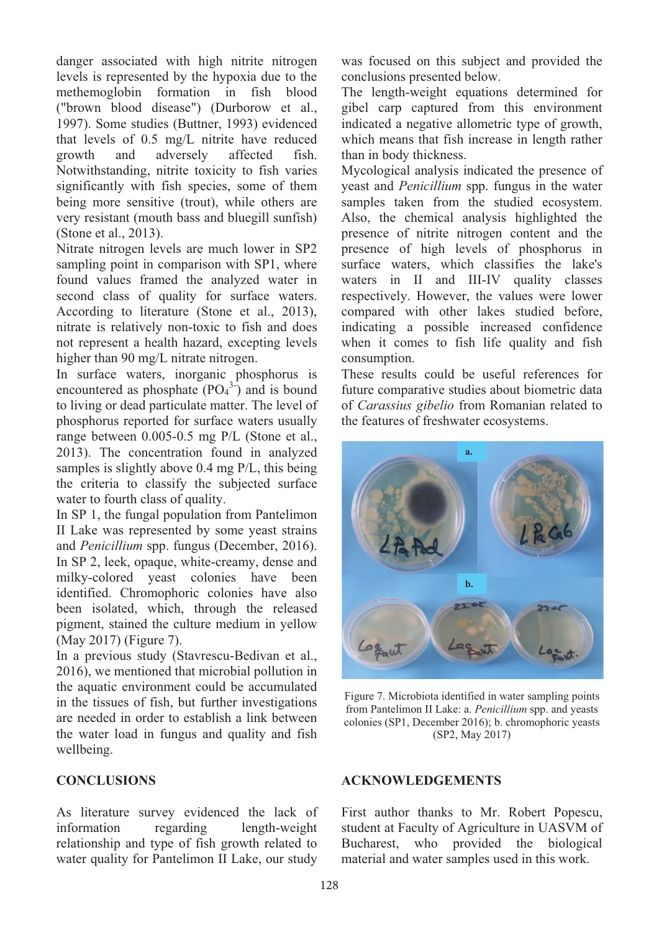danger associated with high nitrite nitrogen levels is represented by the hypoxia due to the methemoglobin formation in fish blood ("brown blood disease") (Durborow et al., 1997). Some studies (Buttner, 1993) evidenced that levels of 0.5 mg/L nitrite have reduced growth and adversely affected fish. Notwithstanding, nitrite toxicity to fish varies significantly with fish species, some of them being more sensitive (trout), while others are very resistant (mouth bass and bluegill sunfish) (Stone et al., 2013).

Nitrate nitrogen levels are much lower in SP2 sampling point in comparison with SP1, where found values framed the analyzed water in second class of quality for surface waters. According to literature (Stone et al., 2013), nitrate is relatively non-toxic to fish and does not represent a health hazard, excepting levels higher than 90 mg/L nitrate nitrogen.

In surface waters, inorganic phosphorus is encountered as phosphate  $(PO<sub>4</sub><sup>3</sup>)$  and is bound to living or dead particulate matter. The level of phosphorus reported for surface waters usually range between 0.005-0.5 mg P/L (Stone et al., 2013). The concentration found in analyzed samples is slightly above 0.4 mg P/L, this being the criteria to classify the subjected surface water to fourth class of quality.

In SP 1, the fungal population from Pantelimon II Lake was represented by some yeast strains and *Penicillium* spp. fungus (December, 2016). In SP 2, leek, opaque, white-creamy, dense and milky-colored yeast colonies have been identified. Chromophoric colonies have also been isolated, which, through the released pigment, stained the culture medium in yellow (May 2017) (Figure 7).

In a previous study (Stavrescu-Bedivan et al., 2016), we mentioned that microbial pollution in the aquatic environment could be accumulated in the tissues of fish, but further investigations are needed in order to establish a link between the water load in fungus and quality and fish wellbeing.

## **CONCLUSIONS**

As literature survey evidenced the lack of information regarding length-weight relationship and type of fish growth related to water quality for Pantelimon II Lake, our study

was focused on this subject and provided the conclusions presented below.

The length-weight equations determined for gibel carp captured from this environment indicated a negative allometric type of growth, which means that fish increase in length rather than in body thickness.

Mycological analysis indicated the presence of yeast and *Penicillium* spp. fungus in the water samples taken from the studied ecosystem. Also, the chemical analysis highlighted the presence of nitrite nitrogen content and the presence of high levels of phosphorus in surface waters, which classifies the lake's waters in II and III-IV quality classes respectively. However, the values were lower compared with other lakes studied before, indicating a possible increased confidence when it comes to fish life quality and fish consumption.

These results could be useful references for future comparative studies about biometric data of *Carassius gibelio* from Romanian related to the features of freshwater ecosystems.



Figure 7. Microbiota identified in water sampling points from Pantelimon II Lake: a. *Penicillium* spp. and yeasts colonies (SP1, December 2016); b. chromophoric yeasts (SP2, May 2017)

### **ACKNOWLEDGEMENTS**

First author thanks to Mr. Robert Popescu, student at Faculty of Agriculture in UASVM of Bucharest, who provided the biological material and water samples used in this work.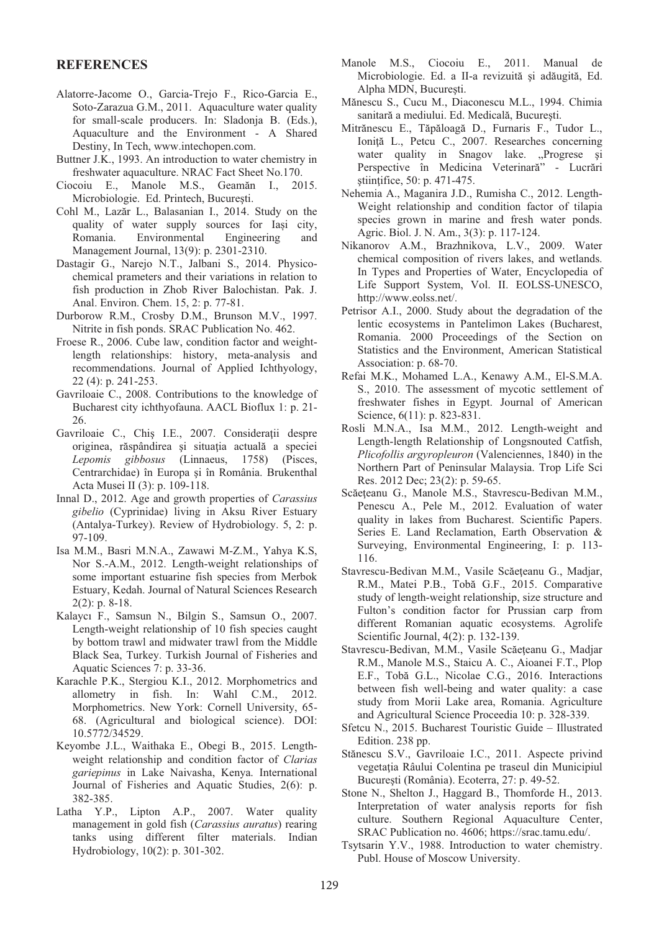#### **REFERENCES**

- Alatorre-Jacome O., Garcia-Trejo F., Rico-Garcia E., Soto-Zarazua G.M., 2011. Aquaculture water quality for small-scale producers. In: Sladonja B. (Eds.), Aquaculture and the Environment - A Shared Destiny, In Tech, www.intechopen.com.
- Buttner J.K., 1993. An introduction to water chemistry in freshwater aquaculture. NRAC Fact Sheet No.170.
- Ciocoiu E., Manole M.S., Geamăn I., 2015. Microbiologie. Ed. Printech, Bucureşti.
- Cohl M., Lazăr L., Balasanian I., 2014. Study on the quality of water supply sources for Iași city, Romania. Environmental Engineering and Management Journal, 13(9): p. 2301-2310.
- Dastagir G., Narejo N.T., Jalbani S., 2014. Physicochemical prameters and their variations in relation to fish production in Zhob River Balochistan. Pak. J. Anal. Environ. Chem. 15, 2: p. 77-81.
- Durborow R.M., Crosby D.M., Brunson M.V., 1997. Nitrite in fish ponds. SRAC Publication No. 462.
- Froese R., 2006. Cube law, condition factor and weightlength relationships: history, meta-analysis and recommendations. Journal of Applied Ichthyology, 22 (4): p. 241-253.
- Gavriloaie C., 2008. Contributions to the knowledge of Bucharest city ichthyofauna. AACL Bioflux 1: p. 21- 26.
- Gavriloaie C., Chiş I.E., 2007. Consideraţii despre originea, răspândirea şi situaţia actuală a speciei *Lepomis gibbosus* (Linnaeus, 1758) (Pisces, Centrarchidae) în Europa şi în România. Brukenthal Acta Musei II (3): p. 109-118.
- Innal D., 2012. Age and growth properties of *Carassius gibelio* (Cyprinidae) living in Aksu River Estuary (Antalya-Turkey). Review of Hydrobiology. 5, 2: p. 97-109.
- Isa M.M., Basri M.N.A., Zawawi M-Z.M., Yahya K.S, Nor S.-A.M., 2012. Length-weight relationships of some important estuarine fish species from Merbok Estuary, Kedah. Journal of Natural Sciences Research 2(2): p. 8-18.
- Kalaycı F., Samsun N., Bilgin S., Samsun O., 2007. Length-weight relationship of 10 fish species caught by bottom trawl and midwater trawl from the Middle Black Sea, Turkey. Turkish Journal of Fisheries and Aquatic Sciences 7: p. 33-36.
- Karachle P.K., Stergiou K.I., 2012. Morphometrics and allometry in fish. In: Wahl C.M., 2012. Morphometrics. New York: Cornell University, 65- 68. (Agricultural and biological science). DOI: 10.5772/34529.
- Keyombe J.L., Waithaka E., Obegi B., 2015. Lengthweight relationship and condition factor of *Clarias gariepinus* in Lake Naivasha, Kenya. International Journal of Fisheries and Aquatic Studies, 2(6): p. 382-385.
- Latha Y.P., Lipton A.P., 2007. Water quality management in gold fish (*Carassius auratus*) rearing tanks using different filter materials. Indian Hydrobiology, 10(2): p. 301-302.
- Manole M.S., Ciocoiu E., 2011. Manual de Microbiologie. Ed. a II-a revizuită şi adăugită, Ed. Alpha MDN, Bucureşti.
- Mănescu S., Cucu M., Diaconescu M.L., 1994. Chimia sanitară a mediului. Ed. Medicală, Bucureşti.
- Mitrănescu E., Tăpăloagă D., Furnaris F., Tudor L., Ioniţă L., Petcu C., 2007. Researches concerning water quality in Snagov lake. "Progrese si Perspective în Medicina Veterinară" - Lucrări ştiinţifice, 50: p. 471-475.
- Nehemia A., Maganira J.D., Rumisha C., 2012. Length-Weight relationship and condition factor of tilapia species grown in marine and fresh water ponds. Agric. Biol. J. N. Am., 3(3): p. 117-124.
- Nikanorov A.M., Brazhnikova, L.V., 2009. Water chemical composition of rivers lakes, and wetlands. In Types and Properties of Water, Encyclopedia of Life Support System, Vol. II. EOLSS-UNESCO, http://www.eolss.net/.
- Petrisor A.I., 2000. Study about the degradation of the lentic ecosystems in Pantelimon Lakes (Bucharest, Romania. 2000 Proceedings of the Section on Statistics and the Environment, American Statistical Association: p. 68-70.
- Refai M.K., Mohamed L.A., Kenawy A.M., El-S.M.A. S., 2010. The assessment of mycotic settlement of freshwater fishes in Egypt. Journal of American Science, 6(11): p. 823-831.
- Rosli M.N.A., Isa M.M., 2012. Length-weight and Length-length Relationship of Longsnouted Catfish, *Plicofollis argyropleuron* (Valenciennes, 1840) in the Northern Part of Peninsular Malaysia. Trop Life Sci Res. 2012 Dec; 23(2): p. 59-65.
- Scăeteanu G., Manole M.S., Stavrescu-Bedivan M.M., Penescu A., Pele M., 2012. Evaluation of water quality in lakes from Bucharest. Scientific Papers. Series E. Land Reclamation, Earth Observation & Surveying, Environmental Engineering, I: p. 113- 116.
- Stavrescu-Bedivan M.M., Vasile Scăeţeanu G., Madjar, R.M., Matei P.B., Tobă G.F., 2015. Comparative study of length-weight relationship, size structure and Fulton's condition factor for Prussian carp from different Romanian aquatic ecosystems. Agrolife Scientific Journal, 4(2): p. 132-139.
- Stavrescu-Bedivan, M.M., Vasile Scăeţeanu G., Madjar R.M., Manole M.S., Staicu A. C., Aioanei F.T., Plop E.F., Tobă G.L., Nicolae C.G., 2016. Interactions between fish well-being and water quality: a case study from Morii Lake area, Romania. Agriculture and Agricultural Science Proceedia 10: p. 328-339.
- Sfetcu N., 2015. Bucharest Touristic Guide Illustrated Edition. 238 pp.
- Stănescu S.V., Gavriloaie I.C., 2011. Aspecte privind vegetatia Râului Colentina pe traseul din Municipiul Bucureşti (România). Ecoterra, 27: p. 49-52.
- Stone N., Shelton J., Haggard B., Thomforde H., 2013. Interpretation of water analysis reports for fish culture. Southern Regional Aquaculture Center, SRAC Publication no. 4606; https://srac.tamu.edu/.
- Tsytsarin Y.V., 1988. Introduction to water chemistry. Publ. House of Moscow University.